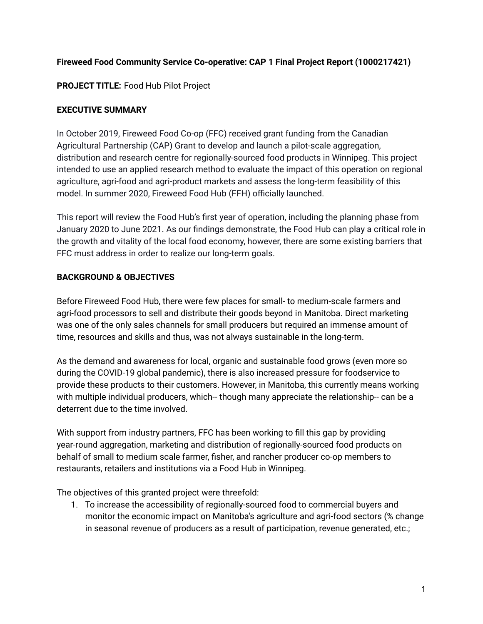# **Fireweed Food Community Service Co-operative: CAP 1 Final Project Report (1000217421)**

# **PROJECT TITLE:** Food Hub Pilot Project

## **EXECUTIVE SUMMARY**

In October 2019, Fireweed Food Co-op (FFC) received grant funding from the Canadian Agricultural Partnership (CAP) Grant to develop and launch a pilot-scale aggregation, distribution and research centre for regionally-sourced food products in Winnipeg. This project intended to use an applied research method to evaluate the impact of this operation on regional agriculture, agri-food and agri-product markets and assess the long-term feasibility of this model. In summer 2020, Fireweed Food Hub (FFH) officially launched.

This report will review the Food Hub's first year of operation, including the planning phase from January 2020 to June 2021. As our findings demonstrate, the Food Hub can play a critical role in the growth and vitality of the local food economy, however, there are some existing barriers that FFC must address in order to realize our long-term goals.

## **BACKGROUND & OBJECTIVES**

Before Fireweed Food Hub, there were few places for small- to medium-scale farmers and agri-food processors to sell and distribute their goods beyond in Manitoba. Direct marketing was one of the only sales channels for small producers but required an immense amount of time, resources and skills and thus, was not always sustainable in the long-term.

As the demand and awareness for local, organic and sustainable food grows (even more so during the COVID-19 global pandemic), there is also increased pressure for foodservice to provide these products to their customers. However, in Manitoba, this currently means working with multiple individual producers, which-- though many appreciate the relationship-- can be a deterrent due to the time involved.

With support from industry partners, FFC has been working to fill this gap by providing year-round aggregation, marketing and distribution of regionally-sourced food products on behalf of small to medium scale farmer, fisher, and rancher producer co-op members to restaurants, retailers and institutions via a Food Hub in Winnipeg.

The objectives of this granted project were threefold:

1. To increase the accessibility of regionally-sourced food to commercial buyers and monitor the economic impact on Manitoba's agriculture and agri-food sectors (% change in seasonal revenue of producers as a result of participation, revenue generated, etc.;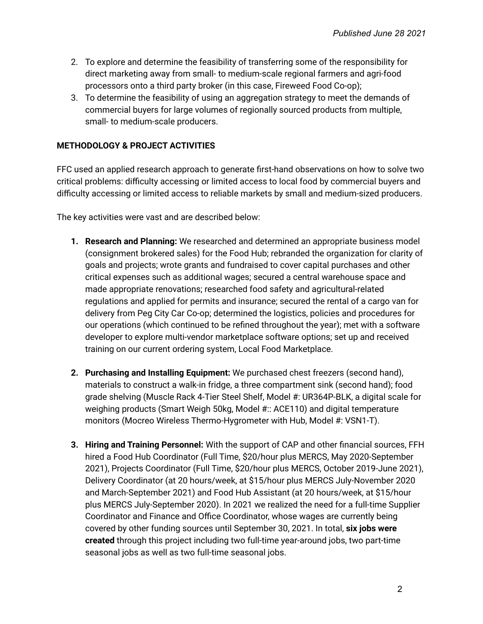- 2. To explore and determine the feasibility of transferring some of the responsibility for direct marketing away from small- to medium-scale regional farmers and agri-food processors onto a third party broker (in this case, Fireweed Food Co-op);
- 3. To determine the feasibility of using an aggregation strategy to meet the demands of commercial buyers for large volumes of regionally sourced products from multiple, small- to medium-scale producers.

#### **METHODOLOGY & PROJECT ACTIVITIES**

FFC used an applied research approach to generate first-hand observations on how to solve two critical problems: difficulty accessing or limited access to local food by commercial buyers and difficulty accessing or limited access to reliable markets by small and medium-sized producers.

The key activities were vast and are described below:

- **1. Research and Planning:** We researched and determined an appropriate business model (consignment brokered sales) for the Food Hub; rebranded the organization for clarity of goals and projects; wrote grants and fundraised to cover capital purchases and other critical expenses such as additional wages; secured a central warehouse space and made appropriate renovations; researched food safety and agricultural-related regulations and applied for permits and insurance; secured the rental of a cargo van for delivery from Peg City Car Co-op; determined the logistics, policies and procedures for our operations (which continued to be refined throughout the year); met with a software developer to explore multi-vendor marketplace software options; set up and received training on our current ordering system, Local Food Marketplace.
- **2. Purchasing and Installing Equipment:** We purchased chest freezers (second hand), materials to construct a walk-in fridge, a three compartment sink (second hand); food grade shelving (Muscle Rack 4-Tier Steel Shelf, Model #: UR364P-BLK, a digital scale for weighing products (Smart Weigh 50kg, Model #:: ACE110) and digital temperature monitors (Mocreo Wireless Thermo-Hygrometer with Hub, Model #: VSN1-T).
- **3. Hiring and Training Personnel:** With the support of CAP and other financial sources, FFH hired a Food Hub Coordinator (Full Time, \$20/hour plus MERCS, May 2020-September 2021), Projects Coordinator (Full Time, \$20/hour plus MERCS, October 2019-June 2021), Delivery Coordinator (at 20 hours/week, at \$15/hour plus MERCS July-November 2020 and March-September 2021) and Food Hub Assistant (at 20 hours/week, at \$15/hour plus MERCS July-September 2020). In 2021 we realized the need for a full-time Supplier Coordinator and Finance and Office Coordinator, whose wages are currently being covered by other funding sources until September 30, 2021. In total, **six jobs were created** through this project including two full-time year-around jobs, two part-time seasonal jobs as well as two full-time seasonal jobs.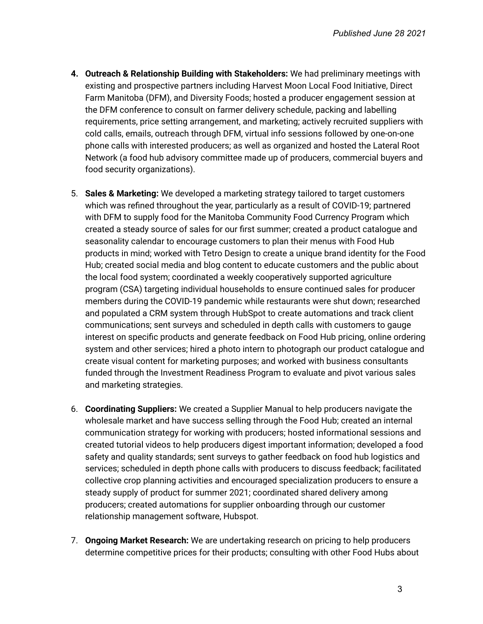- **4. Outreach & Relationship Building with Stakeholders:** We had preliminary meetings with existing and prospective partners including Harvest Moon Local Food Initiative, Direct Farm Manitoba (DFM), and Diversity Foods; hosted a producer engagement session at the DFM conference to consult on farmer delivery schedule, packing and labelling requirements, price setting arrangement, and marketing; actively recruited suppliers with cold calls, emails, outreach through DFM, virtual info sessions followed by one-on-one phone calls with interested producers; as well as organized and hosted the Lateral Root Network (a food hub advisory committee made up of producers, commercial buyers and food security organizations).
- 5. **Sales & Marketing:** We developed a marketing strategy tailored to target customers which was refined throughout the year, particularly as a result of COVID-19; partnered with DFM to supply food for the Manitoba Community Food Currency Program which created a steady source of sales for our first summer; created a product catalogue and seasonality calendar to encourage customers to plan their menus with Food Hub products in mind; worked with Tetro Design to create a unique brand identity for the Food Hub; created social media and blog content to educate customers and the public about the local food system; coordinated a weekly cooperatively supported agriculture program (CSA) targeting individual households to ensure continued sales for producer members during the COVID-19 pandemic while restaurants were shut down; researched and populated a CRM system through HubSpot to create automations and track client communications; sent surveys and scheduled in depth calls with customers to gauge interest on specific products and generate feedback on Food Hub pricing, online ordering system and other services; hired a photo intern to photograph our product catalogue and create visual content for marketing purposes; and worked with business consultants funded through the Investment Readiness Program to evaluate and pivot various sales and marketing strategies.
- 6. **Coordinating Suppliers:** We created a Supplier Manual to help producers navigate the wholesale market and have success selling through the Food Hub; created an internal communication strategy for working with producers; hosted informational sessions and created tutorial videos to help producers digest important information; developed a food safety and quality standards; sent surveys to gather feedback on food hub logistics and services; scheduled in depth phone calls with producers to discuss feedback; facilitated collective crop planning activities and encouraged specialization producers to ensure a steady supply of product for summer 2021; coordinated shared delivery among producers; created automations for supplier onboarding through our customer relationship management software, Hubspot.
- 7. **Ongoing Market Research:** We are undertaking research on pricing to help producers determine competitive prices for their products; consulting with other Food Hubs about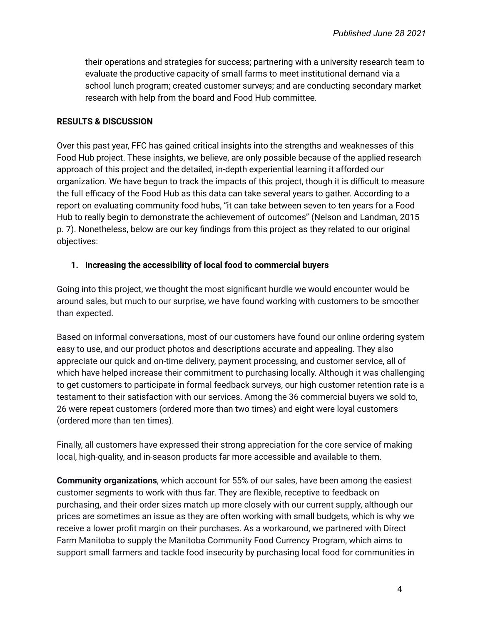their operations and strategies for success; partnering with a university research team to evaluate the productive capacity of small farms to meet institutional demand via a school lunch program; created customer surveys; and are conducting secondary market research with help from the board and Food Hub committee.

#### **RESULTS & DISCUSSION**

Over this past year, FFC has gained critical insights into the strengths and weaknesses of this Food Hub project. These insights, we believe, are only possible because of the applied research approach of this project and the detailed, in-depth experiential learning it afforded our organization. We have begun to track the impacts of this project, though it is difficult to measure the full efficacy of the Food Hub as this data can take several years to gather. According to a report on evaluating community food hubs, "it can take between seven to ten years for a Food Hub to really begin to demonstrate the achievement of outcomes" (Nelson and Landman, 2015 p. 7). Nonetheless, below are our key findings from this project as they related to our original objectives:

#### **1. Increasing the accessibility of local food to commercial buyers**

Going into this project, we thought the most significant hurdle we would encounter would be around sales, but much to our surprise, we have found working with customers to be smoother than expected.

Based on informal conversations, most of our customers have found our online ordering system easy to use, and our product photos and descriptions accurate and appealing. They also appreciate our quick and on-time delivery, payment processing, and customer service, all of which have helped increase their commitment to purchasing locally. Although it was challenging to get customers to participate in formal feedback surveys, our high customer retention rate is a testament to their satisfaction with our services. Among the 36 commercial buyers we sold to, 26 were repeat customers (ordered more than two times) and eight were loyal customers (ordered more than ten times).

Finally, all customers have expressed their strong appreciation for the core service of making local, high-quality, and in-season products far more accessible and available to them.

**Community organizations**, which account for 55% of our sales, have been among the easiest customer segments to work with thus far. They are flexible, receptive to feedback on purchasing, and their order sizes match up more closely with our current supply, although our prices are sometimes an issue as they are often working with small budgets, which is why we receive a lower profit margin on their purchases. As a workaround, we partnered with Direct Farm Manitoba to supply the Manitoba Community Food Currency Program, which aims to support small farmers and tackle food insecurity by purchasing local food for communities in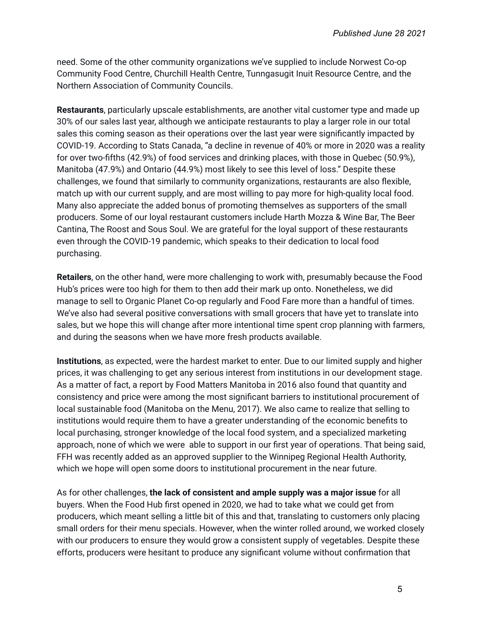need. Some of the other community organizations we've supplied to include Norwest Co-op Community Food Centre, Churchill Health Centre, Tunngasugit Inuit Resource Centre, and the Northern Association of Community Councils.

**Restaurants**, particularly upscale establishments, are another vital customer type and made up 30% of our sales last year, although we anticipate restaurants to play a larger role in our total sales this coming season as their operations over the last year were significantly impacted by COVID-19. According to Stats Canada, "a decline in revenue of 40% or more in 2020 was a reality for over two-fifths (42.9%) of food services and drinking places, with those in Quebec (50.9%), Manitoba (47.9%) and Ontario (44.9%) most likely to see this level of loss." Despite these challenges, we found that similarly to community organizations, restaurants are also flexible, match up with our current supply, and are most willing to pay more for high-quality local food. Many also appreciate the added bonus of promoting themselves as supporters of the small producers. Some of our loyal restaurant customers include Harth Mozza & Wine Bar, The Beer Cantina, The Roost and Sous Soul. We are grateful for the loyal support of these restaurants even through the COVID-19 pandemic, which speaks to their dedication to local food purchasing.

**Retailers**, on the other hand, were more challenging to work with, presumably because the Food Hub's prices were too high for them to then add their mark up onto. Nonetheless, we did manage to sell to Organic Planet Co-op regularly and Food Fare more than a handful of times. We've also had several positive conversations with small grocers that have yet to translate into sales, but we hope this will change after more intentional time spent crop planning with farmers, and during the seasons when we have more fresh products available.

**Institutions**, as expected, were the hardest market to enter. Due to our limited supply and higher prices, it was challenging to get any serious interest from institutions in our development stage. As a matter of fact, a report by Food Matters Manitoba in 2016 also found that quantity and consistency and price were among the most significant barriers to institutional procurement of local sustainable food (Manitoba on the Menu, 2017). We also came to realize that selling to institutions would require them to have a greater understanding of the economic benefits to local purchasing, stronger knowledge of the local food system, and a specialized marketing approach, none of which we were able to support in our first year of operations. That being said, FFH was recently added as an approved supplier to the Winnipeg Regional Health Authority, which we hope will open some doors to institutional procurement in the near future.

As for other challenges, **the lack of consistent and ample supply was a major issue** for all buyers. When the Food Hub first opened in 2020, we had to take what we could get from producers, which meant selling a little bit of this and that, translating to customers only placing small orders for their menu specials. However, when the winter rolled around, we worked closely with our producers to ensure they would grow a consistent supply of vegetables. Despite these efforts, producers were hesitant to produce any significant volume without confirmation that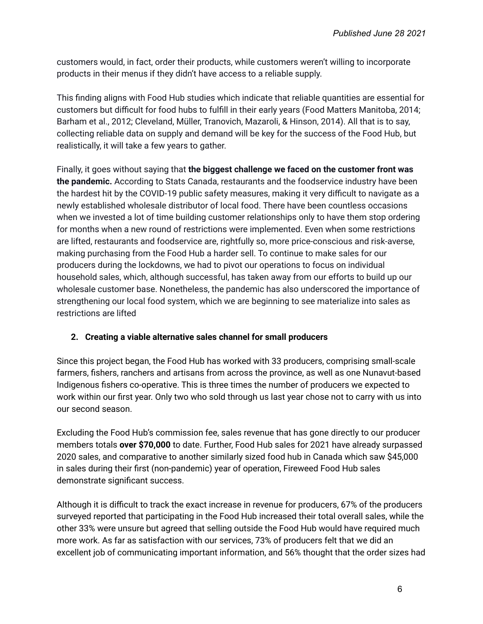customers would, in fact, order their products, while customers weren't willing to incorporate products in their menus if they didn't have access to a reliable supply.

This finding aligns with Food Hub studies which indicate that reliable quantities are essential for customers but difficult for food hubs to fulfill in their early years (Food Matters Manitoba, 2014; Barham et al., 2012; Cleveland, Müller, Tranovich, Mazaroli, & Hinson, 2014). All that is to say, collecting reliable data on supply and demand will be key for the success of the Food Hub, but realistically, it will take a few years to gather.

Finally, it goes without saying that **the biggest challenge we faced on the customer front was the pandemic.** According to Stats Canada, restaurants and the foodservice industry have been the hardest hit by the COVID-19 public safety measures, making it very difficult to navigate as a newly established wholesale distributor of local food. There have been countless occasions when we invested a lot of time building customer relationships only to have them stop ordering for months when a new round of restrictions were implemented. Even when some restrictions are lifted, restaurants and foodservice are, rightfully so, more price-conscious and risk-averse, making purchasing from the Food Hub a harder sell. To continue to make sales for our producers during the lockdowns, we had to pivot our operations to focus on individual household sales, which, although successful, has taken away from our efforts to build up our wholesale customer base. Nonetheless, the pandemic has also underscored the importance of strengthening our local food system, which we are beginning to see materialize into sales as restrictions are lifted

# **2. Creating a viable alternative sales channel for small producers**

Since this project began, the Food Hub has worked with 33 producers, comprising small-scale farmers, fishers, ranchers and artisans from across the province, as well as one Nunavut-based Indigenous fishers co-operative. This is three times the number of producers we expected to work within our first year. Only two who sold through us last year chose not to carry with us into our second season.

Excluding the Food Hub's commission fee, sales revenue that has gone directly to our producer members totals **over \$70,000** to date. Further, Food Hub sales for 2021 have already surpassed 2020 sales, and comparative to another similarly sized food hub in Canada which saw \$45,000 in sales during their first (non-pandemic) year of operation, Fireweed Food Hub sales demonstrate significant success.

Although it is difficult to track the exact increase in revenue for producers, 67% of the producers surveyed reported that participating in the Food Hub increased their total overall sales, while the other 33% were unsure but agreed that selling outside the Food Hub would have required much more work. As far as satisfaction with our services, 73% of producers felt that we did an excellent job of communicating important information, and 56% thought that the order sizes had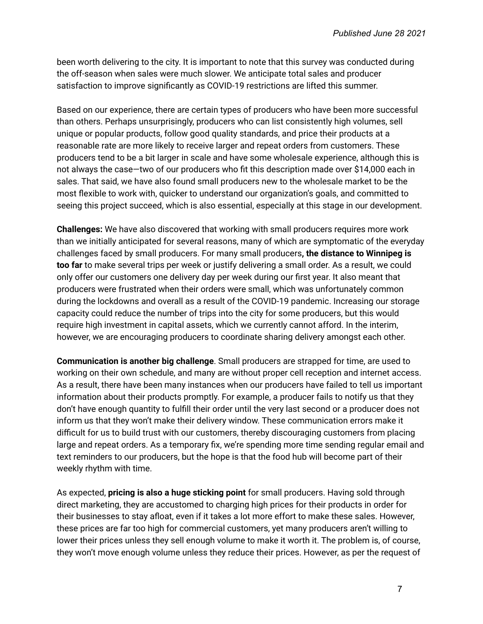been worth delivering to the city. It is important to note that this survey was conducted during the off-season when sales were much slower. We anticipate total sales and producer satisfaction to improve significantly as COVID-19 restrictions are lifted this summer.

Based on our experience, there are certain types of producers who have been more successful than others. Perhaps unsurprisingly, producers who can list consistently high volumes, sell unique or popular products, follow good quality standards, and price their products at a reasonable rate are more likely to receive larger and repeat orders from customers. These producers tend to be a bit larger in scale and have some wholesale experience, although this is not always the case—two of our producers who fit this description made over \$14,000 each in sales. That said, we have also found small producers new to the wholesale market to be the most flexible to work with, quicker to understand our organization's goals, and committed to seeing this project succeed, which is also essential, especially at this stage in our development.

**Challenges:** We have also discovered that working with small producers requires more work than we initially anticipated for several reasons, many of which are symptomatic of the everyday challenges faced by small producers. For many small producers**, the distance to Winnipeg is too far** to make several trips per week or justify delivering a small order. As a result, we could only offer our customers one delivery day per week during our first year. It also meant that producers were frustrated when their orders were small, which was unfortunately common during the lockdowns and overall as a result of the COVID-19 pandemic. Increasing our storage capacity could reduce the number of trips into the city for some producers, but this would require high investment in capital assets, which we currently cannot afford. In the interim, however, we are encouraging producers to coordinate sharing delivery amongst each other.

**Communication is another big challenge**. Small producers are strapped for time, are used to working on their own schedule, and many are without proper cell reception and internet access. As a result, there have been many instances when our producers have failed to tell us important information about their products promptly. For example, a producer fails to notify us that they don't have enough quantity to fulfill their order until the very last second or a producer does not inform us that they won't make their delivery window. These communication errors make it difficult for us to build trust with our customers, thereby discouraging customers from placing large and repeat orders. As a temporary fix, we're spending more time sending regular email and text reminders to our producers, but the hope is that the food hub will become part of their weekly rhythm with time.

As expected, **pricing is also a huge sticking point** for small producers. Having sold through direct marketing, they are accustomed to charging high prices for their products in order for their businesses to stay afloat, even if it takes a lot more effort to make these sales. However, these prices are far too high for commercial customers, yet many producers aren't willing to lower their prices unless they sell enough volume to make it worth it. The problem is, of course, they won't move enough volume unless they reduce their prices. However, as per the request of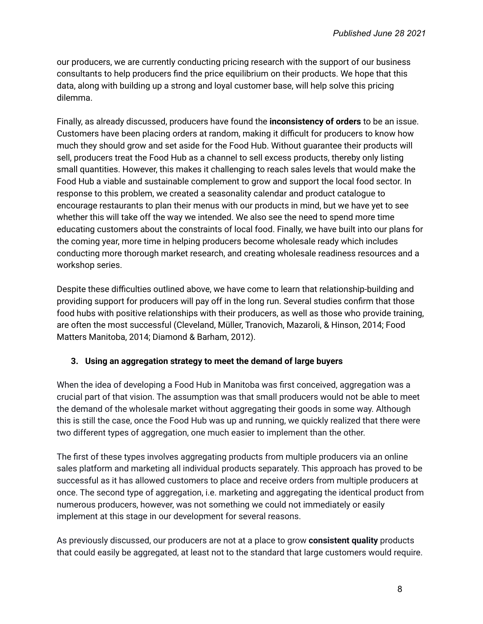our producers, we are currently conducting pricing research with the support of our business consultants to help producers find the price equilibrium on their products. We hope that this data, along with building up a strong and loyal customer base, will help solve this pricing dilemma.

Finally, as already discussed, producers have found the **inconsistency of orders** to be an issue. Customers have been placing orders at random, making it difficult for producers to know how much they should grow and set aside for the Food Hub. Without guarantee their products will sell, producers treat the Food Hub as a channel to sell excess products, thereby only listing small quantities. However, this makes it challenging to reach sales levels that would make the Food Hub a viable and sustainable complement to grow and support the local food sector. In response to this problem, we created a seasonality calendar and product catalogue to encourage restaurants to plan their menus with our products in mind, but we have yet to see whether this will take off the way we intended. We also see the need to spend more time educating customers about the constraints of local food. Finally, we have built into our plans for the coming year, more time in helping producers become wholesale ready which includes conducting more thorough market research, and creating wholesale readiness resources and a workshop series.

Despite these difficulties outlined above, we have come to learn that relationship-building and providing support for producers will pay off in the long run. Several studies confirm that those food hubs with positive relationships with their producers, as well as those who provide training, are often the most successful (Cleveland, Müller, Tranovich, Mazaroli, & Hinson, 2014; Food Matters Manitoba, 2014; Diamond & Barham, 2012).

## **3. Using an aggregation strategy to meet the demand of large buyers**

When the idea of developing a Food Hub in Manitoba was first conceived, aggregation was a crucial part of that vision. The assumption was that small producers would not be able to meet the demand of the wholesale market without aggregating their goods in some way. Although this is still the case, once the Food Hub was up and running, we quickly realized that there were two different types of aggregation, one much easier to implement than the other.

The first of these types involves aggregating products from multiple producers via an online sales platform and marketing all individual products separately. This approach has proved to be successful as it has allowed customers to place and receive orders from multiple producers at once. The second type of aggregation, i.e. marketing and aggregating the identical product from numerous producers, however, was not something we could not immediately or easily implement at this stage in our development for several reasons.

As previously discussed, our producers are not at a place to grow **consistent quality** products that could easily be aggregated, at least not to the standard that large customers would require.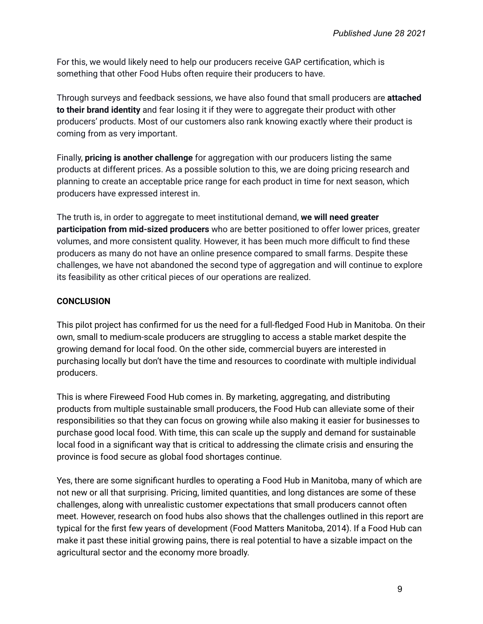For this, we would likely need to help our producers receive GAP certification, which is something that other Food Hubs often require their producers to have.

Through surveys and feedback sessions, we have also found that small producers are **attached to their brand identity** and fear losing it if they were to aggregate their product with other producers' products. Most of our customers also rank knowing exactly where their product is coming from as very important.

Finally, **pricing is another challenge** for aggregation with our producers listing the same products at different prices. As a possible solution to this, we are doing pricing research and planning to create an acceptable price range for each product in time for next season, which producers have expressed interest in.

The truth is, in order to aggregate to meet institutional demand, **we will need greater participation from mid-sized producers** who are better positioned to offer lower prices, greater volumes, and more consistent quality. However, it has been much more difficult to find these producers as many do not have an online presence compared to small farms. Despite these challenges, we have not abandoned the second type of aggregation and will continue to explore its feasibility as other critical pieces of our operations are realized.

## **CONCLUSION**

This pilot project has confirmed for us the need for a full-fledged Food Hub in Manitoba. On their own, small to medium-scale producers are struggling to access a stable market despite the growing demand for local food. On the other side, commercial buyers are interested in purchasing locally but don't have the time and resources to coordinate with multiple individual producers.

This is where Fireweed Food Hub comes in. By marketing, aggregating, and distributing products from multiple sustainable small producers, the Food Hub can alleviate some of their responsibilities so that they can focus on growing while also making it easier for businesses to purchase good local food. With time, this can scale up the supply and demand for sustainable local food in a significant way that is critical to addressing the climate crisis and ensuring the province is food secure as global food shortages continue.

Yes, there are some significant hurdles to operating a Food Hub in Manitoba, many of which are not new or all that surprising. Pricing, limited quantities, and long distances are some of these challenges, along with unrealistic customer expectations that small producers cannot often meet. However, research on food hubs also shows that the challenges outlined in this report are typical for the first few years of development (Food Matters Manitoba, 2014). If a Food Hub can make it past these initial growing pains, there is real potential to have a sizable impact on the agricultural sector and the economy more broadly.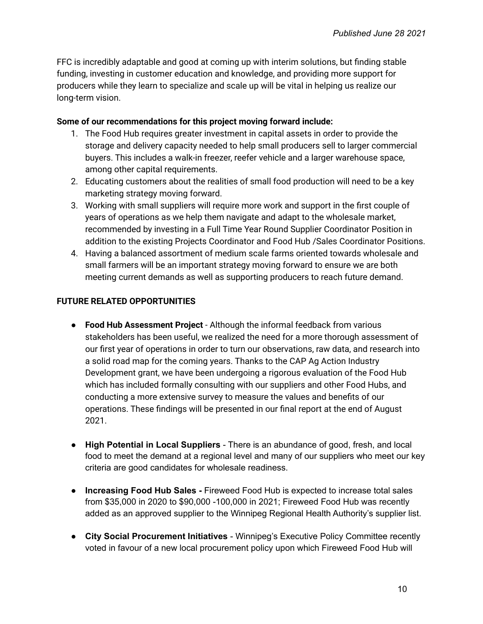FFC is incredibly adaptable and good at coming up with interim solutions, but finding stable funding, investing in customer education and knowledge, and providing more support for producers while they learn to specialize and scale up will be vital in helping us realize our long-term vision.

#### **Some of our recommendations for this project moving forward include:**

- 1. The Food Hub requires greater investment in capital assets in order to provide the storage and delivery capacity needed to help small producers sell to larger commercial buyers. This includes a walk-in freezer, reefer vehicle and a larger warehouse space, among other capital requirements.
- 2. Educating customers about the realities of small food production will need to be a key marketing strategy moving forward.
- 3. Working with small suppliers will require more work and support in the first couple of years of operations as we help them navigate and adapt to the wholesale market, recommended by investing in a Full Time Year Round Supplier Coordinator Position in addition to the existing Projects Coordinator and Food Hub /Sales Coordinator Positions.
- 4. Having a balanced assortment of medium scale farms oriented towards wholesale and small farmers will be an important strategy moving forward to ensure we are both meeting current demands as well as supporting producers to reach future demand.

# **FUTURE RELATED OPPORTUNITIES**

- **Food Hub Assessment Project** Although the informal feedback from various stakeholders has been useful, we realized the need for a more thorough assessment of our first year of operations in order to turn our observations, raw data, and research into a solid road map for the coming years. Thanks to the CAP Ag Action Industry Development grant, we have been undergoing a rigorous evaluation of the Food Hub which has included formally consulting with our suppliers and other Food Hubs, and conducting a more extensive survey to measure the values and benefits of our operations. These findings will be presented in our final report at the end of August 2021.
- **● High Potential in Local Suppliers** There is an abundance of good, fresh, and local food to meet the demand at a regional level and many of our suppliers who meet our key criteria are good candidates for wholesale readiness.
- **● Increasing Food Hub Sales -** Fireweed Food Hub is expected to increase total sales from \$35,000 in 2020 to \$90,000 -100,000 in 2021; Fireweed Food Hub was recently added as an approved supplier to the Winnipeg Regional Health Authority's supplier list.
- **● City Social Procurement Initiatives** Winnipeg's Executive Policy Committee recently voted in favour of a new local procurement policy upon which Fireweed Food Hub will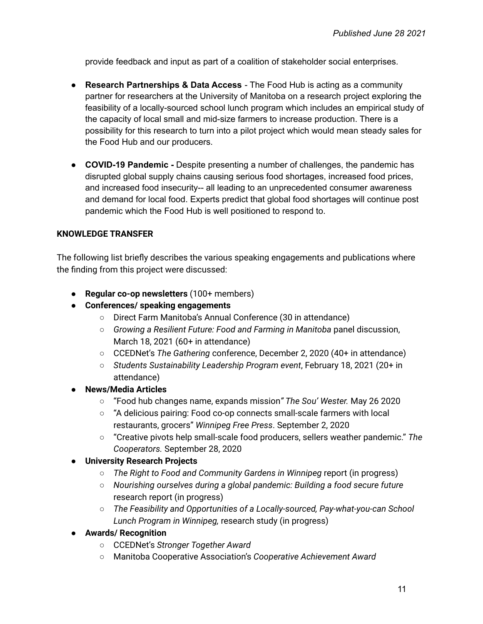provide feedback and input as part of a coalition of stakeholder social enterprises.

- **● Research Partnerships & Data Access** The Food Hub is acting as a community partner for researchers at the University of Manitoba on a research project exploring the feasibility of a locally-sourced school lunch program which includes an empirical study of the capacity of local small and mid-size farmers to increase production. There is a possibility for this research to turn into a pilot project which would mean steady sales for the Food Hub and our producers.
- **● COVID-19 Pandemic -** Despite presenting a number of challenges, the pandemic has disrupted global supply chains causing serious food shortages, increased food prices, and increased food insecurity-- all leading to an unprecedented consumer awareness and demand for local food. Experts predict that global food shortages will continue post pandemic which the Food Hub is well positioned to respond to.

#### **KNOWLEDGE TRANSFER**

The following list briefly describes the various speaking engagements and publications where the finding from this project were discussed:

- **Regular co-op newsletters** (100+ members)
- **● Conferences/ speaking engagements**
	- Direct Farm Manitoba's Annual Conference (30 in attendance)
	- *Growing a Resilient Future: Food and Farming in Manitoba* panel discussion, March 18, 2021 (60+ in attendance)
	- CCEDNet's *The Gathering* conference, December 2, 2020 (40+ in attendance)
	- *Students Sustainability Leadership Program event*, February 18, 2021 (20+ in attendance)
- **● News/Media Articles**
	- "Food hub changes name, expands mission*" The Sou' Wester.* May 26 2020
	- "A delicious pairing: Food co-op connects small-scale farmers with local restaurants, grocers" *Winnipeg Free Press*. September 2, 2020
	- "Creative pivots help small-scale food producers, sellers weather pandemic." *The Cooperators.* September 28, 2020

#### **● University Research Projects**

- *The Right to Food and Community Gardens in Winnipeg* report (in progress)
- *Nourishing ourselves during a global pandemic: Building a food secure future* research report (in progress)
- *The Feasibility and Opportunities of a Locally-sourced, Pay-what-you-can School Lunch Program in Winnipeg,* research study (in progress)
- **● Awards/ Recognition**
	- CCEDNet's *Stronger Together Award*
	- Manitoba Cooperative Association's *Cooperative Achievement Award*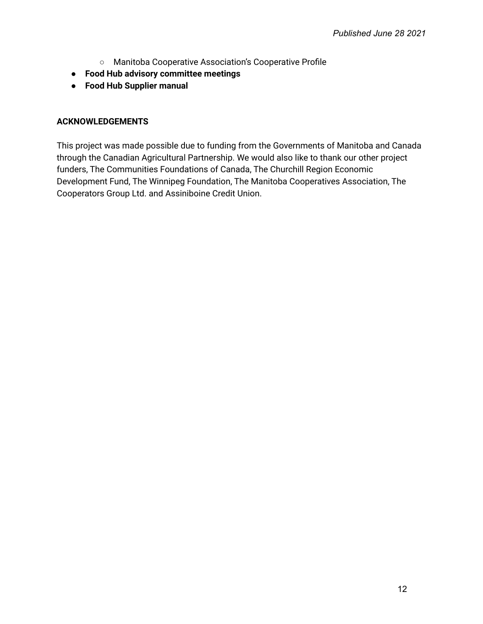- Manitoba Cooperative Association's Cooperative Profile
- **● Food Hub advisory committee meetings**
- **● Food Hub Supplier manual**

## **ACKNOWLEDGEMENTS**

This project was made possible due to funding from the Governments of Manitoba and Canada through the Canadian Agricultural Partnership. We would also like to thank our other project funders, The Communities Foundations of Canada, The Churchill Region Economic Development Fund, The Winnipeg Foundation, The Manitoba Cooperatives Association, The Cooperators Group Ltd. and Assiniboine Credit Union.